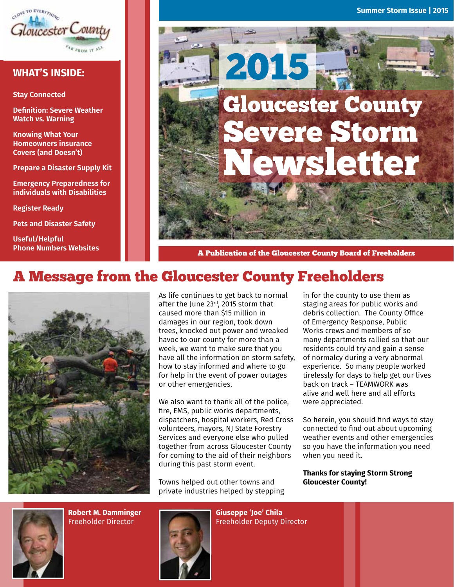



#### **WHAT'S INSIDE:**

**Stay Connected**

**Definition: Severe Weather Watch vs. Warning**

**Knowing What Your Homeowners insurance Covers (and Doesn't)**

**Prepare a Disaster Supply Kit**

**Emergency Preparedness for individuals with Disabilities**

**Register Ready** 

**Pets and Disaster Safety**

**Useful/Helpful Phone Numbers Websites**



A Publication of the Gloucester County Board of Freeholders

### A Message from the Gloucester County Freeholders



As life continues to get back to normal after the June 23rd, 2015 storm that caused more than \$15 million in damages in our region, took down trees, knocked out power and wreaked havoc to our county for more than a week, we want to make sure that you have all the information on storm safety, how to stay informed and where to go for help in the event of power outages or other emergencies.

We also want to thank all of the police, fire, EMS, public works departments, dispatchers, hospital workers, Red Cross volunteers, mayors, NJ State Forestry Services and everyone else who pulled together from across Gloucester County for coming to the aid of their neighbors during this past storm event.

Towns helped out other towns and private industries helped by stepping in for the county to use them as staging areas for public works and debris collection. The County Office of Emergency Response, Public Works crews and members of so many departments rallied so that our residents could try and gain a sense of normalcy during a very abnormal experience. So many people worked tirelessly for days to help get our lives back on track – TEAMWORK was alive and well here and all efforts were appreciated.

So herein, you should find ways to stay connected to find out about upcoming weather events and other emergencies so you have the information you need when you need it.

**Thanks for staying Storm Strong Gloucester County!**



**Robert M. Damminger** Freeholder Director



**Giuseppe 'Joe' Chila** Freeholder Deputy Director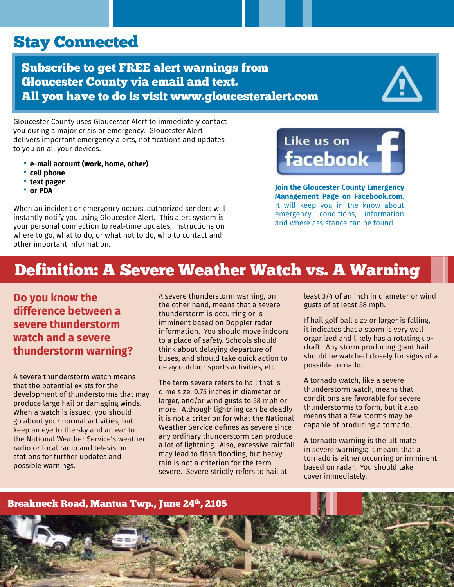## Stay Connected

Subscribe to get FREE alert warnings from Gloucester County via email and text. All you have to do is visit www.gloucesteralert.com



Gloucester County uses Gloucester Alert to immediately contact you during a major crisis or emergency. Gloucester Alert delivers important emergency alerts, notifications and updates to you on all your devices:

- • **e-mail account (work, home, other)**
- • **cell phone**
- **text pager**
- • **or PDA**

When an incident or emergency occurs, authorized senders will instantly notify you using Gloucester Alert. This alert system is your personal connection to real-time updates, instructions on where to go, what to do, or what not to do, who to contact and other important information.



**Join the Gloucester County Emergency Management Page on Facebook.com.** It will keep you in the know about emergency conditions, information and where assistance can be found.

## Definition: A Severe Weather Watch vs. A Warning

**Do you know the difference between a severe thunderstorm watch and a severe thunderstorm warning?**

A severe thunderstorm watch means that the potential exists for the development of thunderstorms that may produce large hail or damaging winds. When a watch is issued, you should go about your normal activities, but keep an eye to the sky and an ear to the National Weather Service's weather radio or local radio and television stations for further updates and possible warnings.

A severe thunderstorm warning, on the other hand, means that a severe thunderstorm is occurring or is imminent based on Doppler radar information. You should move indoors to a place of safety. Schools should think about delaying departure of buses, and should take quick action to delay outdoor sports activities, etc.

The term severe refers to hail that is dime size, 0.75 inches in diameter or larger, and/or wind gusts to 58 mph or more. Although lightning can be deadly it is not a criterion for what the National Weather Service defines as severe since any ordinary thunderstorm can produce a lot of lightning. Also, excessive rainfall may lead to flash flooding, but heavy rain is not a criterion for the term severe. Severe strictly refers to hail at

least 3/4 of an inch in diameter or wind gusts of at least 58 mph.

If hail golf ball size or larger is falling, it indicates that a storm is very well organized and likely has a rotating updraft. Any storm producing giant hail should be watched closely for signs of a possible tornado.

A tornado watch, like a severe thunderstorm watch, means that conditions are favorable for severe thunderstorms to form, but it also means that a few storms may be capable of producing a tornado.

A tornado warning is the ultimate in severe warnings; it means that a tornado is either occurring or imminent based on radar. You should take cover immediately.

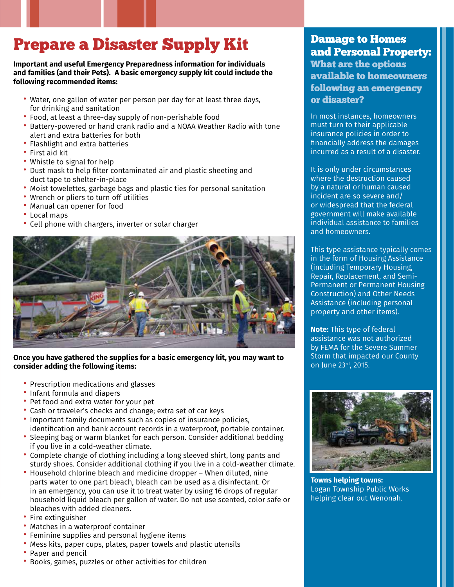# Prepare a Disaster Supply Kit

**Important and useful Emergency Preparedness information for individuals and families (and their Pets). A basic emergency supply kit could include the following recommended items:**

- Water, one gallon of water per person per day for at least three days, for drinking and sanitation
- Food, at least a three-day supply of non-perishable food
- Battery-powered or hand crank radio and a NOAA Weather Radio with tone alert and extra batteries for both
- Flashlight and extra batteries
- • First aid kit
- Whistle to signal for help
- Dust mask to help filter contaminated air and plastic sheeting and duct tape to shelter-in-place
- Moist towelettes, garbage bags and plastic ties for personal sanitation
- • Wrench or pliers to turn off utilities
- Manual can opener for food
- Local maps
- Cell phone with chargers, inverter or solar charger



**Once you have gathered the supplies for a basic emergency kit, you may want to consider adding the following items:**

- Prescription medications and glasses
- • Infant formula and diapers
- Pet food and extra water for your pet
- Cash or traveler's checks and change; extra set of car keys
- Important family documents such as copies of insurance policies, identification and bank account records in a waterproof, portable container.
- Sleeping bag or warm blanket for each person. Consider additional bedding if you live in a cold-weather climate.
- Complete change of clothing including a long sleeved shirt, long pants and sturdy shoes. Consider additional clothing if you live in a cold-weather climate.
- Household chlorine bleach and medicine dropper When diluted, nine parts water to one part bleach, bleach can be used as a disinfectant. Or in an emergency, you can use it to treat water by using 16 drops of regular household liquid bleach per gallon of water. Do not use scented, color safe or bleaches with added cleaners.
- Fire extinguisher
- Matches in a waterproof container
- Feminine supplies and personal hygiene items<br>• Mess kits, paper cups, plates, paper towels and
- Mess kits, paper cups, plates, paper towels and plastic utensils
- Paper and pencil
- Books, games, puzzles or other activities for children

### Damage to Homes and Personal Property:

What are the options available to homeowners following an emergency or disaster?

In most instances, homeowners must turn to their applicable insurance policies in order to financially address the damages incurred as a result of a disaster.

It is only under circumstances where the destruction caused by a natural or human caused incident are so severe and/ or widespread that the federal government will make available individual assistance to families and homeowners.

This type assistance typically comes in the form of Housing Assistance (including Temporary Housing, Repair, Replacement, and Semi-Permanent or Permanent Housing Construction) and Other Needs Assistance (including personal property and other items).

**Note:** This type of federal assistance was not authorized by FEMA for the Severe Summer Storm that impacted our County on June 23rd, 2015.



**Towns helping towns:** Logan Township Public Works helping clear out Wenonah.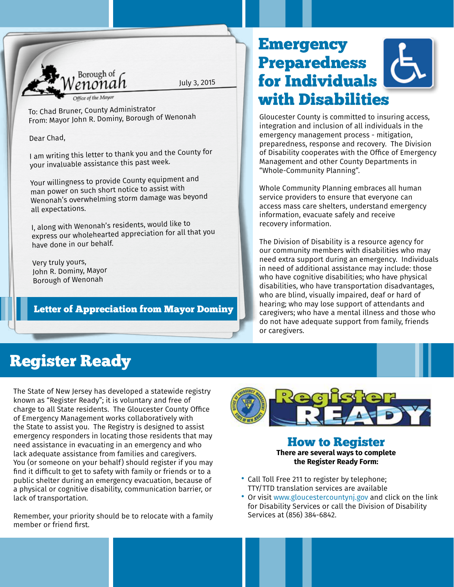

July 3, 2015

To: Chad Bruner, County Administrator From: Mayor John R. Dominy, Borough of Wenonah

Dear Chad,

I am writing this letter to thank you and the County for your invaluable assistance this past week.

Your willingness to provide County equipment an<sup>d</sup> man power on such short notice to assist with Wenonah's overwhelming storm damage was beyond all expectations.

I, along with Wenonah's residents, would like to express our wholehearted appreciation for all that you have done in our behalf.

Very truly yours, John R. Dominy, Mayor Borough of Wenona<sup>h</sup>

Letter of Appreciation from Mayor Dominy

## with Disabilities **Emergency** Preparedness for Individuals

Gloucester County is committed to insuring access, integration and inclusion of all individuals in the emergency management process - mitigation, preparedness, response and recovery. The Division of Disability cooperates with the Office of Emergency Management and other County Departments in "Whole-Community Planning".

Whole Community Planning embraces all human service providers to ensure that everyone can access mass care shelters, understand emergency information, evacuate safely and receive recovery information.

The Division of Disability is a resource agency for our community members with disabilities who may need extra support during an emergency. Individuals in need of additional assistance may include: those who have cognitive disabilities; who have physical disabilities, who have transportation disadvantages, who are blind, visually impaired, deaf or hard of hearing; who may lose support of attendants and caregivers; who have a mental illness and those who do not have adequate support from family, friends or caregivers.

## Register Ready

The State of New Jersey has developed a statewide registry known as "Register Ready"; it is voluntary and free of charge to all State residents. The Gloucester County Office of Emergency Management works collaboratively with the State to assist you. The Registry is designed to assist emergency responders in locating those residents that may need assistance in evacuating in an emergency and who lack adequate assistance from families and caregivers. You (or someone on your behalf) should register if you may find it difficult to get to safety with family or friends or to a public shelter during an emergency evacuation, because of a physical or cognitive disability, communication barrier, or lack of transportation.

Remember, your priority should be to relocate with a family member or friend first.



How to Register **There are several ways to complete the Register Ready Form:** 

- Call Toll Free 211 to register by telephone; TTY/TTD translation services are available
- Or visit www.gloucestercountynj.gov and click on the link for Disability Services or call the Division of Disability Services at (856) 384-6842.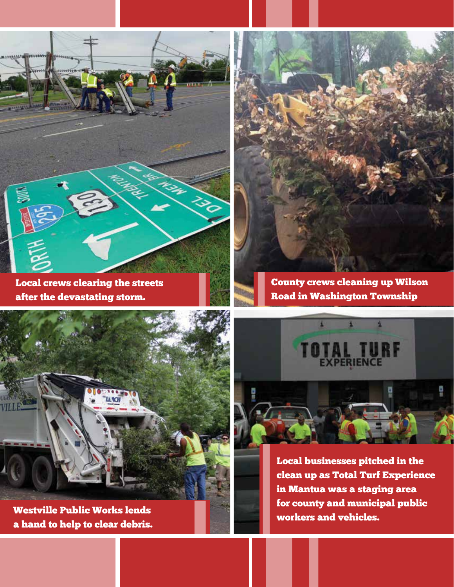Local crews clearing the streets after the devastating storm.

County crews cleaning up Wilson Road in Washington Township



**ARCHITECT** 

 $\Im$ 

Westville Public Works lends a hand to help to clear debris.



Local businesses pitched in the clean up as Total Turf Experience in Mantua was a staging area for county and municipal public workers and vehicles.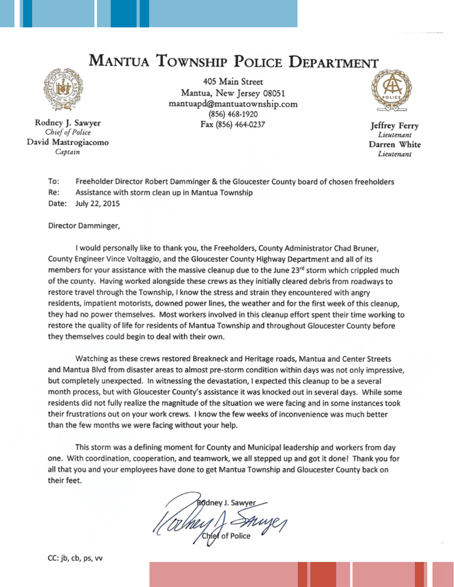# **MANTUA TOWNSHIP POLICE DEPARTMENT**



Rodney J. Sawyer Chief of Police David Mastrogiacomo Captain

405 Main Street Mantua, New Jersey 08051 mantuapd@mantuatownship.com (856) 468-1920 Fax (856) 464-0237



Jeffrey Ferry Lieutenant Darren White Lieutenant

To: Freeholder Director Robert Damminger & the Gloucester County board of chosen freeholders

Re: Assistance with storm clean up in Mantua Township

Date: July 22, 2015

Director Damminger,

I would personally like to thank you, the Freeholders, County Administrator Chad Bruner, County Engineer Vince Voltaggio, and the Gloucester County Highway Department and all of its members for your assistance with the massive cleanup due to the June 23<sup>rd</sup> storm which crippled much of the county. Having worked alongside these crews as they initially cleared debris from roadways to restore travel through the Township, I know the stress and strain they encountered with angry residents, impatient motorists, downed power lines, the weather and for the first week of this cleanup, they had no power themselves. Most workers involved in this cleanup effort spent their time working to restore the quality of life for residents of Mantua Township and throughout Gloucester County before they themselves could begin to deal with their own.

Watching as these crews restored Breakneck and Heritage roads, Mantua and Center Streets and Mantua Blvd from disaster areas to almost pre-storm condition within days was not only impressive. but completely unexpected. In witnessing the devastation, I expected this cleanup to be a several month process, but with Gloucester County's assistance it was knocked out in several days. While some residents did not fully realize the magnitude of the situation we were facing and in some instances took their frustrations out on your work crews. I know the few weeks of inconvenience was much better than the few months we were facing without your help.

This storm was a defining moment for County and Municipal leadership and workers from day one. With coordination, cooperation, and teamwork, we all stepped up and got it done! Thank you for all that you and your employees have done to get Mantua Township and Gloucester County back on their feet.

**Rodney J. Sawyer** They J Sauge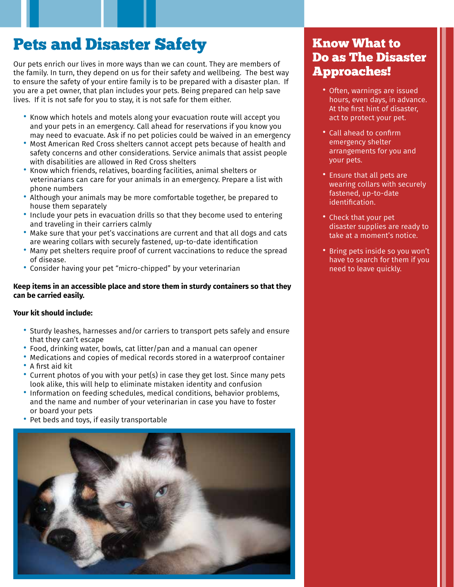# **Pets and Disaster Safety Know What to**

Our pets enrich our lives in more ways than we can count. They are members of the family. In turn, they depend on us for their safety and wellbeing. The best way to ensure the safety of your entire family is to be prepared with a disaster plan. If you are a pet owner, that plan includes your pets. Being prepared can help save lives. If it is not safe for you to stay, it is not safe for them either.

- Know which hotels and motels along your evacuation route will accept you and your pets in an emergency. Call ahead for reservations if you know you may need to evacuate. Ask if no pet policies could be waived in an emergency
- • Most American Red Cross shelters cannot accept pets because of health and safety concerns and other considerations. Service animals that assist people with disabilities are allowed in Red Cross shelters
- • Know which friends, relatives, boarding facilities, animal shelters or veterinarians can care for your animals in an emergency. Prepare a list with phone numbers
- Although your animals may be more comfortable together, be prepared to house them separately
- Include your pets in evacuation drills so that they become used to entering and traveling in their carriers calmly
- • Make sure that your pet's vaccinations are current and that all dogs and cats are wearing collars with securely fastened, up-to-date identification
- Many pet shelters require proof of current vaccinations to reduce the spread of disease.
- Consider having your pet "micro-chipped" by your veterinarian

#### **Keep items in an accessible place and store them in sturdy containers so that they can be carried easily.**

#### **Your kit should include:**

- • Sturdy leashes, harnesses and/or carriers to transport pets safely and ensure that they can't escape
- Food, drinking water, bowls, cat litter/pan and a manual can opener
- • Medications and copies of medical records stored in a waterproof container • A first aid kit
- • Current photos of you with your pet(s) in case they get lost. Since many pets look alike, this will help to eliminate mistaken identity and confusion
- Information on feeding schedules, medical conditions, behavior problems, and the name and number of your veterinarian in case you have to foster or board your pets
- Pet beds and toys, if easily transportable



# Do as The Disaster Approaches!

- • Often, warnings are issued hours, even days, in advance. At the first hint of disaster, act to protect your pet.
- • Call ahead to confirm emergency shelter arrangements for you and your pets.
- Ensure that all pets are wearing collars with securely fastened, up-to-date identification.
- Check that your pet disaster supplies are ready to take at a moment's notice.
- Bring pets inside so you won't have to search for them if you need to leave quickly.